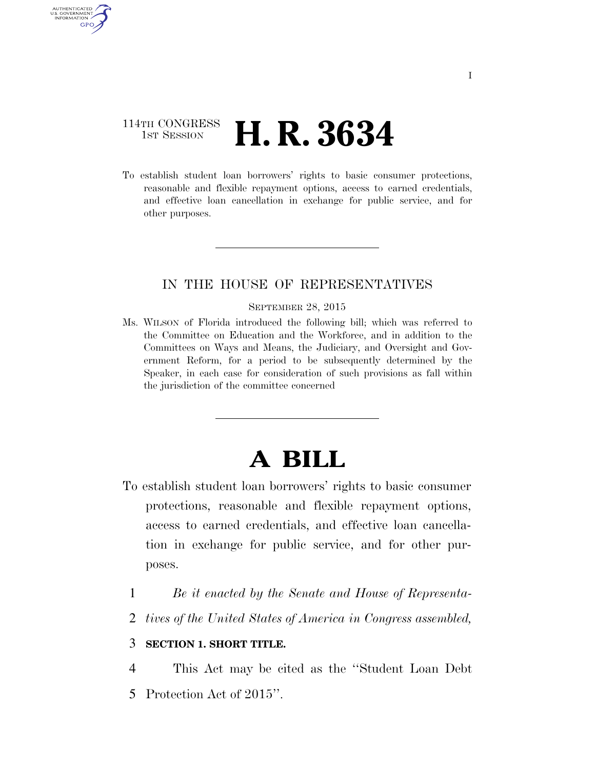### 114TH CONGRESS **1st Session H. R. 3634**

AUTHENTICATED U.S. GOVERNMENT GPO

> To establish student loan borrowers' rights to basic consumer protections, reasonable and flexible repayment options, access to earned credentials, and effective loan cancellation in exchange for public service, and for other purposes.

#### IN THE HOUSE OF REPRESENTATIVES

#### SEPTEMBER 28, 2015

Ms. WILSON of Florida introduced the following bill; which was referred to the Committee on Education and the Workforce, and in addition to the Committees on Ways and Means, the Judiciary, and Oversight and Government Reform, for a period to be subsequently determined by the Speaker, in each case for consideration of such provisions as fall within the jurisdiction of the committee concerned

# **A BILL**

- To establish student loan borrowers' rights to basic consumer protections, reasonable and flexible repayment options, access to earned credentials, and effective loan cancellation in exchange for public service, and for other purposes.
	- 1 *Be it enacted by the Senate and House of Representa-*
	- 2 *tives of the United States of America in Congress assembled,*

#### 3 **SECTION 1. SHORT TITLE.**

4 This Act may be cited as the ''Student Loan Debt

5 Protection Act of 2015''.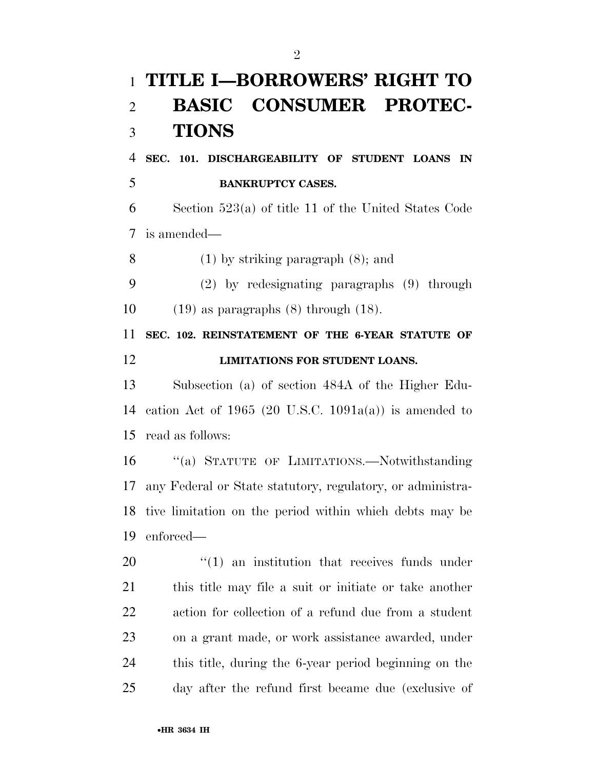# **TITLE I—BORROWERS' RIGHT TO BASIC CONSUMER PROTEC-TIONS**

 **SEC. 101. DISCHARGEABILITY OF STUDENT LOANS IN BANKRUPTCY CASES.** 

 Section 523(a) of title 11 of the United States Code is amended—

(1) by striking paragraph (8); and

(2) by redesignating paragraphs (9) through

10  $(19)$  as paragraphs  $(8)$  through  $(18)$ .

 **SEC. 102. REINSTATEMENT OF THE 6-YEAR STATUTE OF LIMITATIONS FOR STUDENT LOANS.** 

 Subsection (a) of section 484A of the Higher Edu-14 cation Act of 1965 (20 U.S.C. 1091 $a(a)$ ) is amended to read as follows:

 ''(a) STATUTE OF LIMITATIONS.—Notwithstanding any Federal or State statutory, regulatory, or administra- tive limitation on the period within which debts may be enforced—

 $\frac{1}{20}$  an institution that receives funds under this title may file a suit or initiate or take another action for collection of a refund due from a student on a grant made, or work assistance awarded, under this title, during the 6-year period beginning on the day after the refund first became due (exclusive of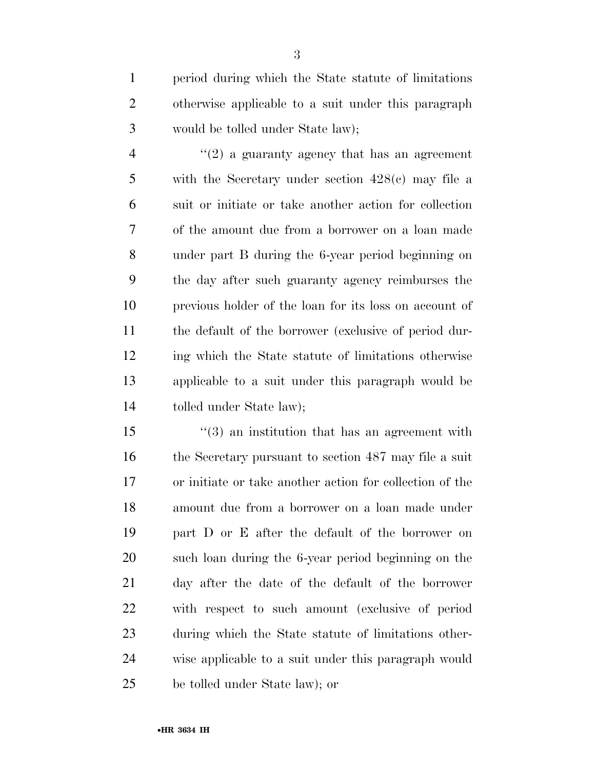period during which the State statute of limitations otherwise applicable to a suit under this paragraph would be tolled under State law);

 $\frac{4}{2}$  ''(2) a guaranty agency that has an agreement with the Secretary under section 428(c) may file a suit or initiate or take another action for collection of the amount due from a borrower on a loan made under part B during the 6-year period beginning on the day after such guaranty agency reimburses the previous holder of the loan for its loss on account of the default of the borrower (exclusive of period dur- ing which the State statute of limitations otherwise applicable to a suit under this paragraph would be tolled under State law);

 ''(3) an institution that has an agreement with 16 the Secretary pursuant to section 487 may file a suit or initiate or take another action for collection of the amount due from a borrower on a loan made under part D or E after the default of the borrower on such loan during the 6-year period beginning on the day after the date of the default of the borrower with respect to such amount (exclusive of period during which the State statute of limitations other- wise applicable to a suit under this paragraph would be tolled under State law); or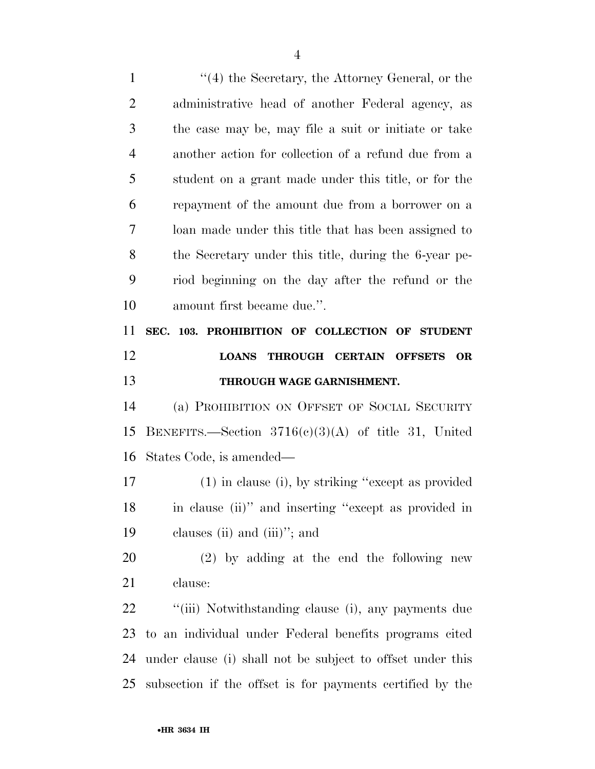1 ''(4) the Secretary, the Attorney General, or the administrative head of another Federal agency, as the case may be, may file a suit or initiate or take another action for collection of a refund due from a student on a grant made under this title, or for the repayment of the amount due from a borrower on a loan made under this title that has been assigned to the Secretary under this title, during the 6-year pe- riod beginning on the day after the refund or the amount first became due.''. **SEC. 103. PROHIBITION OF COLLECTION OF STUDENT LOANS THROUGH CERTAIN OFFSETS OR THROUGH WAGE GARNISHMENT.**  (a) PROHIBITION ON OFFSET OF SOCIAL SECURITY BENEFITS.—Section 3716(c)(3)(A) of title 31, United States Code, is amended— (1) in clause (i), by striking ''except as provided in clause (ii)'' and inserting ''except as provided in clauses (ii) and (iii)''; and (2) by adding at the end the following new clause: 22 "(iii) Notwithstanding clause (i), any payments due to an individual under Federal benefits programs cited under clause (i) shall not be subject to offset under this subsection if the offset is for payments certified by the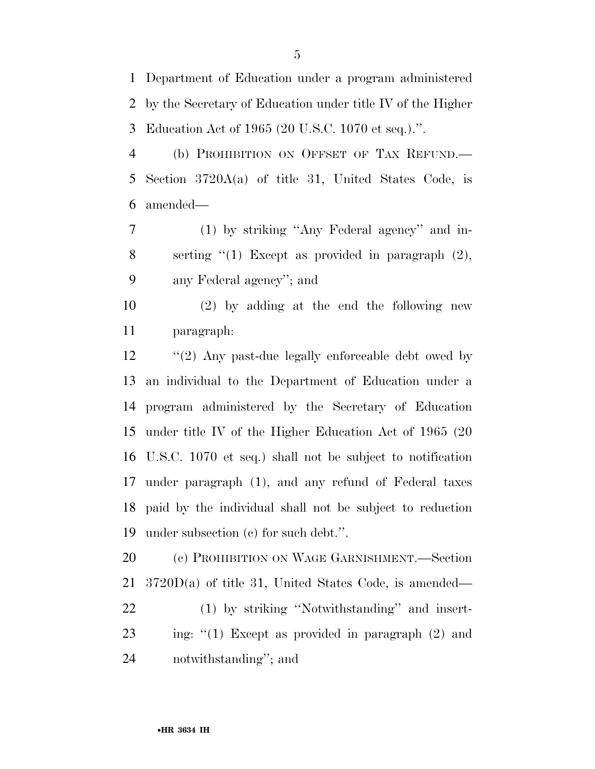Department of Education under a program administered by the Secretary of Education under title IV of the Higher Education Act of 1965 (20 U.S.C. 1070 et seq.).''.

 (b) PROHIBITION ON OFFSET OF TAX REFUND.— Section 3720A(a) of title 31, United States Code, is amended—

 (1) by striking ''Any Federal agency'' and in- serting ''(1) Except as provided in paragraph (2), any Federal agency''; and

 (2) by adding at the end the following new paragraph:

12 "(2) Any past-due legally enforceable debt owed by an individual to the Department of Education under a program administered by the Secretary of Education under title IV of the Higher Education Act of 1965 (20 U.S.C. 1070 et seq.) shall not be subject to notification under paragraph (1), and any refund of Federal taxes paid by the individual shall not be subject to reduction under subsection (c) for such debt.''.

 (c) PROHIBITION ON WAGE GARNISHMENT.—Section 3720D(a) of title 31, United States Code, is amended— (1) by striking ''Notwithstanding'' and insert- ing: ''(1) Except as provided in paragraph (2) and notwithstanding''; and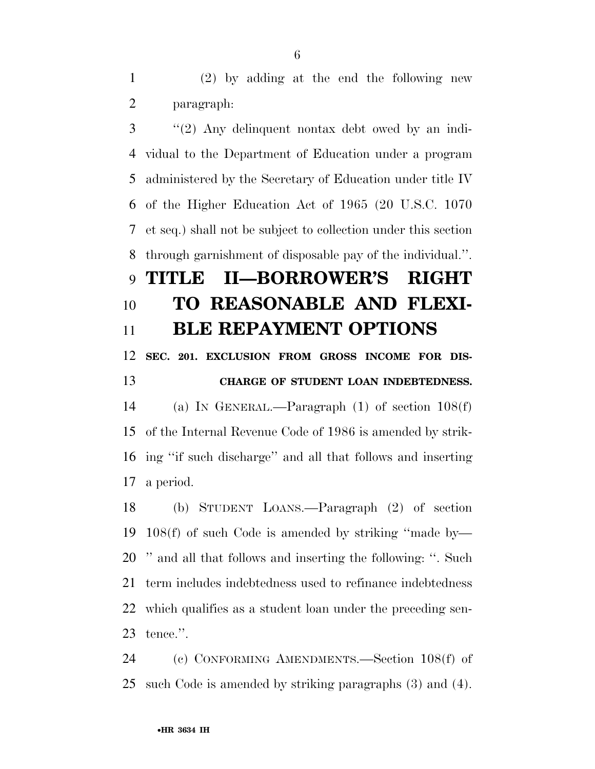(2) by adding at the end the following new paragraph:

 ''(2) Any delinquent nontax debt owed by an indi- vidual to the Department of Education under a program administered by the Secretary of Education under title IV of the Higher Education Act of 1965 (20 U.S.C. 1070 et seq.) shall not be subject to collection under this section through garnishment of disposable pay of the individual.''.

# **TITLE II—BORROWER'S RIGHT TO REASONABLE AND FLEXI-BLE REPAYMENT OPTIONS**

## **SEC. 201. EXCLUSION FROM GROSS INCOME FOR DIS-CHARGE OF STUDENT LOAN INDEBTEDNESS.**

 (a) IN GENERAL.—Paragraph (1) of section 108(f) of the Internal Revenue Code of 1986 is amended by strik- ing ''if such discharge'' and all that follows and inserting a period.

 (b) STUDENT LOANS.—Paragraph (2) of section 108(f) of such Code is amended by striking ''made by— '' and all that follows and inserting the following: ''. Such term includes indebtedness used to refinance indebtedness which qualifies as a student loan under the preceding sen-tence.''.

 (c) CONFORMING AMENDMENTS.—Section 108(f) of such Code is amended by striking paragraphs (3) and (4).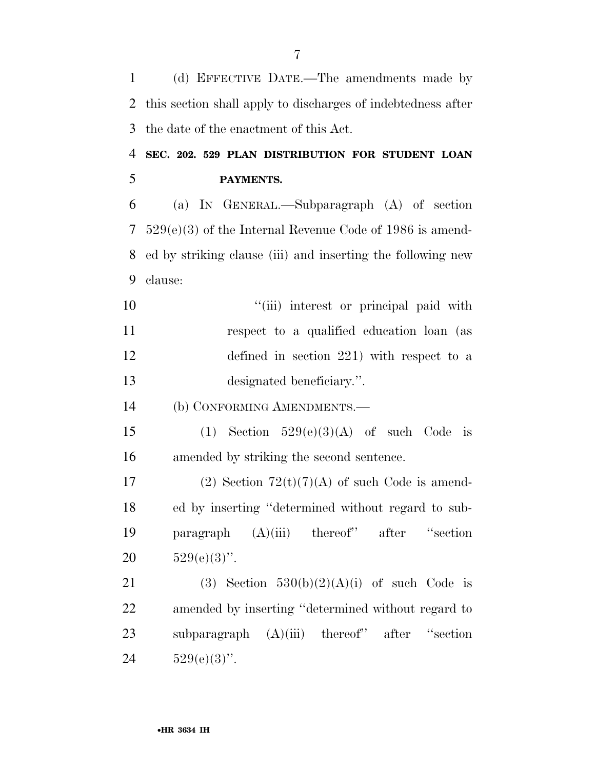this section shall apply to discharges of indebtedness after the date of the enactment of this Act. **SEC. 202. 529 PLAN DISTRIBUTION FOR STUDENT LOAN PAYMENTS.**  (a) IN GENERAL.—Subparagraph (A) of section 529(e)(3) of the Internal Revenue Code of 1986 is amend- ed by striking clause (iii) and inserting the following new clause:  $"$ (iii) interest or principal paid with respect to a qualified education loan (as defined in section 221) with respect to a designated beneficiary.''. (b) CONFORMING AMENDMENTS.— 15 (1) Section  $529(e)(3)(A)$  of such Code is amended by striking the second sentence. 17 (2) Section  $72(t)(7)(A)$  of such Code is amend- ed by inserting ''determined without regard to sub- paragraph (A)(iii) thereof'' after ''section  $529(e)(3)$ ". 21 (3) Section  $530(b)(2)(A)(i)$  of such Code is amended by inserting ''determined without regard to subparagraph (A)(iii) thereof'' after ''section  $529(e)(3)$ ".

(d) EFFECTIVE DATE.—The amendments made by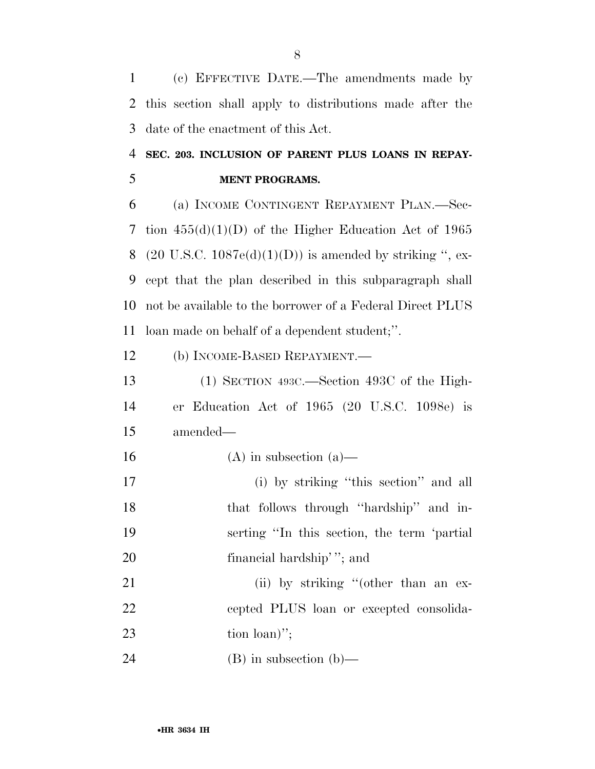(c) EFFECTIVE DATE.—The amendments made by this section shall apply to distributions made after the date of the enactment of this Act.

## **SEC. 203. INCLUSION OF PARENT PLUS LOANS IN REPAY-MENT PROGRAMS.**

 (a) INCOME CONTINGENT REPAYMENT PLAN.—Sec- tion 455(d)(1)(D) of the Higher Education Act of 1965 8 (20 U.S.C.  $1087e(d)(1)(D)$ ) is amended by striking ", ex- cept that the plan described in this subparagraph shall not be available to the borrower of a Federal Direct PLUS loan made on behalf of a dependent student;''.

(b) INCOME-BASED REPAYMENT.—

 (1) SECTION 493C.—Section 493C of the High- er Education Act of 1965 (20 U.S.C. 1098e) is amended—

- 16 (A) in subsection (a)—
- (i) by striking ''this section'' and all that follows through ''hardship'' and in- serting ''In this section, the term 'partial 20 financial hardship'"; and

21 (ii) by striking "(other than an ex- cepted PLUS loan or excepted consolida-23 tion loan)";

(B) in subsection (b)—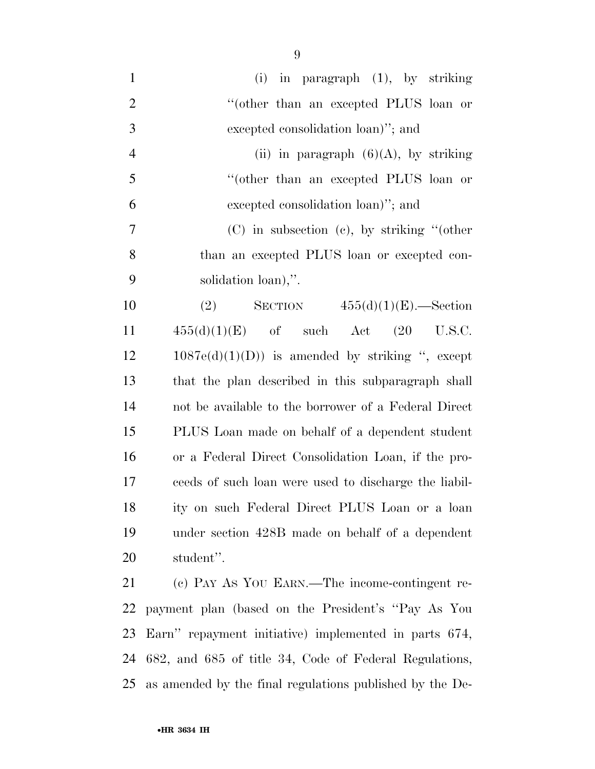| $\mathbf{1}$   | $(i)$ in paragraph $(1)$ , by striking                   |
|----------------|----------------------------------------------------------|
| $\overline{2}$ | "(other than an excepted PLUS loan or                    |
| 3              | excepted consolidation loan)"; and                       |
| $\overline{4}$ | (ii) in paragraph $(6)(A)$ , by striking                 |
| 5              | "(other than an excepted PLUS loan or                    |
| 6              | excepted consolidation loan)"; and                       |
| 7              | $(C)$ in subsection $(c)$ , by striking "(other          |
| 8              | than an excepted PLUS loan or excepted con-              |
| 9              | solidation loan),".                                      |
| 10             | SECTION $455(d)(1)(E)$ . Section<br>(2)                  |
| 11             | $455(d)(1)(E)$ of such Act $(20 \text{ U.S.C.})$         |
| 12             | $1087e(d)(1)(D)$ is amended by striking ", except        |
| 13             | that the plan described in this subparagraph shall       |
| 14             | not be available to the borrower of a Federal Direct     |
| 15             | PLUS Loan made on behalf of a dependent student          |
| 16             | or a Federal Direct Consolidation Loan, if the pro-      |
| 17             | ceeds of such loan were used to discharge the liabil-    |
| 18             | ity on such Federal Direct PLUS Loan or a loan           |
| 19             | under section 428B made on behalf of a dependent         |
| 20             | student".                                                |
| 21             | (c) PAY AS YOU EARN.—The income-contingent re-           |
| 22             | payment plan (based on the President's "Pay As You       |
| 23             | Earn" repayment initiative) implemented in parts 674,    |
| 24             | 682, and 685 of title 34, Code of Federal Regulations,   |
| 25             | as amended by the final regulations published by the De- |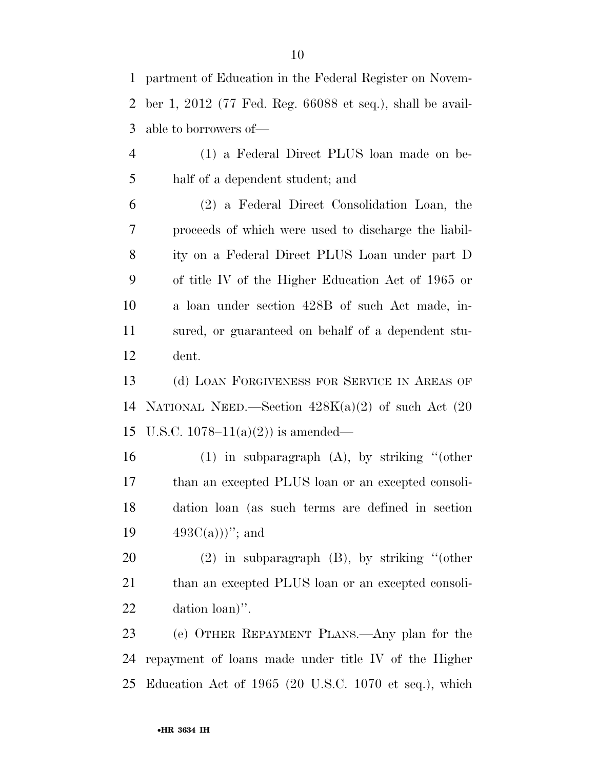partment of Education in the Federal Register on Novem- ber 1, 2012 (77 Fed. Reg. 66088 et seq.), shall be avail-able to borrowers of—

 (1) a Federal Direct PLUS loan made on be-half of a dependent student; and

 (2) a Federal Direct Consolidation Loan, the proceeds of which were used to discharge the liabil- ity on a Federal Direct PLUS Loan under part D of title IV of the Higher Education Act of 1965 or a loan under section 428B of such Act made, in- sured, or guaranteed on behalf of a dependent stu-dent.

 (d) LOAN FORGIVENESS FOR SERVICE IN AREAS OF 14 NATIONAL NEED.—Section  $428K(a)(2)$  of such Act  $(20)$ 15 U.S.C. 1078–11(a)(2)) is amended—

 (1) in subparagraph (A), by striking ''(other than an excepted PLUS loan or an excepted consoli- dation loan (as such terms are defined in section  $493C(a))$ "; and

 (2) in subparagraph (B), by striking ''(other 21 than an excepted PLUS loan or an excepted consoli-dation loan)''.

 (e) OTHER REPAYMENT PLANS.—Any plan for the repayment of loans made under title IV of the Higher Education Act of 1965 (20 U.S.C. 1070 et seq.), which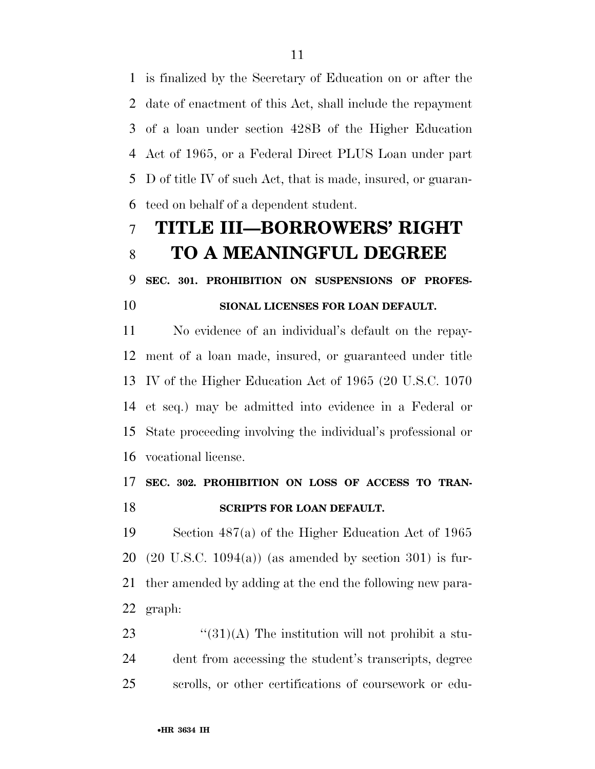is finalized by the Secretary of Education on or after the date of enactment of this Act, shall include the repayment of a loan under section 428B of the Higher Education Act of 1965, or a Federal Direct PLUS Loan under part D of title IV of such Act, that is made, insured, or guaran-teed on behalf of a dependent student.

# **TITLE III—BORROWERS' RIGHT TO A MEANINGFUL DEGREE**

**SEC. 301. PROHIBITION ON SUSPENSIONS OF PROFES-**

#### **SIONAL LICENSES FOR LOAN DEFAULT.**

 No evidence of an individual's default on the repay- ment of a loan made, insured, or guaranteed under title IV of the Higher Education Act of 1965 (20 U.S.C. 1070 et seq.) may be admitted into evidence in a Federal or State proceeding involving the individual's professional or vocational license.

## **SEC. 302. PROHIBITION ON LOSS OF ACCESS TO TRAN-SCRIPTS FOR LOAN DEFAULT.**

 Section 487(a) of the Higher Education Act of 1965 (20 U.S.C. 1094(a)) (as amended by section 301) is fur- ther amended by adding at the end the following new para-graph:

23  $\frac{4}{31}(A)$  The institution will not prohibit a stu- dent from accessing the student's transcripts, degree scrolls, or other certifications of coursework or edu-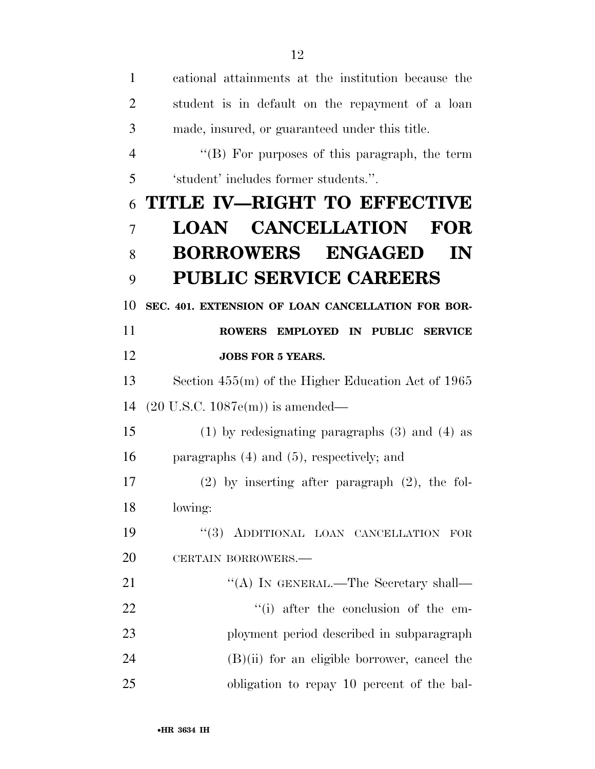| 1              | cational attainments at the institution because the  |
|----------------|------------------------------------------------------|
| $\overline{2}$ | student is in default on the repayment of a loan     |
| 3              | made, insured, or guaranteed under this title.       |
| $\overline{4}$ | "(B) For purposes of this paragraph, the term        |
| 5              | 'student' includes former students.".                |
| 6              | TITLE IV-RIGHT TO EFFECTIVE                          |
| $\overline{7}$ | <b>LOAN CANCELLATION</b><br><b>FOR</b>               |
| 8              | <b>BORROWERS ENGAGED</b><br>IN                       |
| 9              | <b>PUBLIC SERVICE CAREERS</b>                        |
| 10             | SEC. 401. EXTENSION OF LOAN CANCELLATION FOR BOR-    |
| 11             | ROWERS EMPLOYED IN PUBLIC SERVICE                    |
| 12             | <b>JOBS FOR 5 YEARS.</b>                             |
| 13             | Section $455(m)$ of the Higher Education Act of 1965 |
| 14             | $(20 \text{ U.S.C. } 1087 \text{e(m)})$ is amended—  |
| 15             | $(1)$ by redesignating paragraphs $(3)$ and $(4)$ as |
| 16             | paragraphs $(4)$ and $(5)$ , respectively; and       |
| 17             | $(2)$ by inserting after paragraph $(2)$ , the fol-  |
| 18             | lowing:                                              |
| 19             | "(3) ADDITIONAL LOAN CANCELLATION FOR                |
| 20             | CERTAIN BORROWERS.                                   |
| 21             | "(A) IN GENERAL.—The Secretary shall—                |
| 22             | "(i) after the conclusion of the em-                 |
| 23             | ployment period described in subparagraph            |
| 24             | $(B)(ii)$ for an eligible borrower, cancel the       |
| 25             | obligation to repay 10 percent of the bal-           |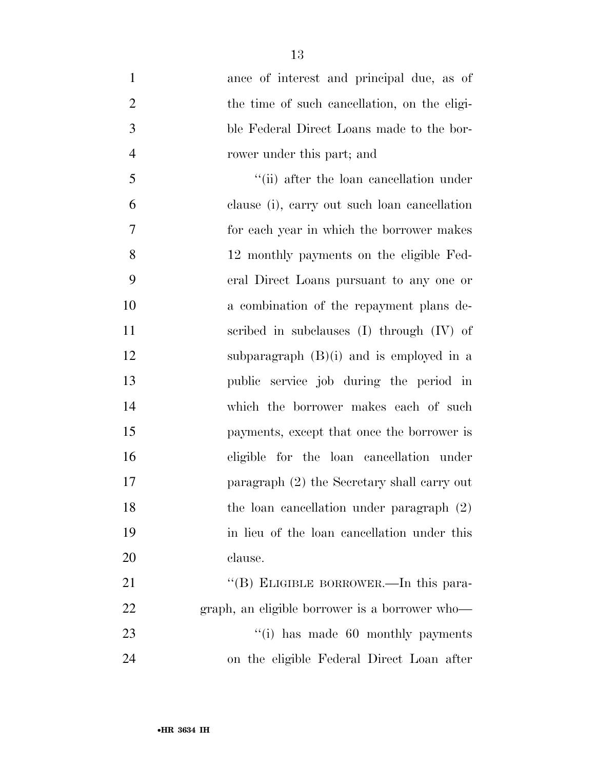| $\mathbf{1}$   | ance of interest and principal due, as of      |
|----------------|------------------------------------------------|
| $\overline{2}$ | the time of such cancellation, on the eligi-   |
| 3              | ble Federal Direct Loans made to the bor-      |
| $\overline{4}$ | rower under this part; and                     |
| 5              | "(ii) after the loan cancellation under        |
| 6              | clause (i), carry out such loan cancellation   |
| 7              | for each year in which the borrower makes      |
| 8              | 12 monthly payments on the eligible Fed-       |
| 9              | eral Direct Loans pursuant to any one or       |
| 10             | a combination of the repayment plans de-       |
| 11             | scribed in subclauses $(I)$ through $(IV)$ of  |
| 12             | subparagraph $(B)(i)$ and is employed in a     |
| 13             | public service job during the period in        |
| 14             | which the borrower makes each of such          |
| 15             | payments, except that once the borrower is     |
| 16             | eligible for the loan cancellation under       |
| 17             | paragraph (2) the Secretary shall carry out    |
| 18             | the loan cancellation under paragraph (2)      |
| 19             | in lieu of the loan cancellation under this    |
| 20             | clause.                                        |
| 21             | "(B) ELIGIBLE BORROWER.—In this para-          |
| 22             | graph, an eligible borrower is a borrower who- |
| 23             | $\lq\lq$ (i) has made 60 monthly payments      |

on the eligible Federal Direct Loan after